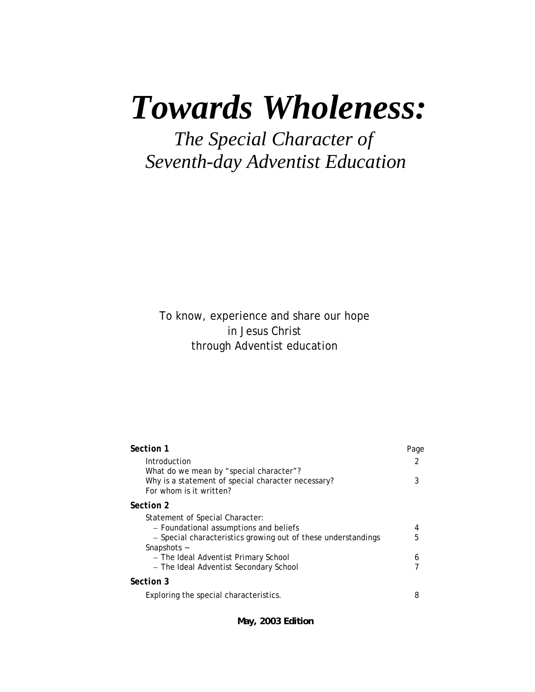# *Towards Wholeness:*

 *The Special Character of Seventh-day Adventist Education*

To know, experience and share our hope in Jesus Christ through Adventist education

| Section 1                                                                                                                                                 | Page   |
|-----------------------------------------------------------------------------------------------------------------------------------------------------------|--------|
| Introduction                                                                                                                                              | 2      |
| What do we mean by "special character"?<br>Why is a statement of special character necessary?<br>For whom is it written?                                  | 3      |
| Section 2                                                                                                                                                 |        |
| Statement of Special Character:<br>- Foundational assumptions and beliefs<br>- Special characteristics growing out of these understandings<br>Snapshots ~ | 4<br>5 |
| - The Ideal Adventist Primary School                                                                                                                      | 6      |
| - The Ideal Adventist Secondary School                                                                                                                    |        |
| Section 3                                                                                                                                                 |        |
| Exploring the special characteristics.                                                                                                                    | 8      |

**May, 2003 Edition**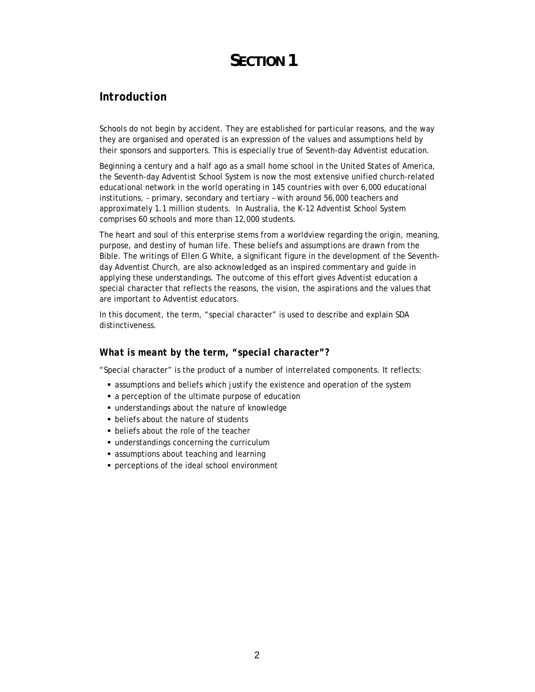# **SECTION 1**

# *Introduction*

Schools do not begin by accident. They are established for particular reasons, and the way they are organised and operated is an expression of the values and assumptions held by their sponsors and supporters. This is especially true of Seventh-day Adventist education.

Beginning a century and a half ago as a small home school in the United States of America, the Seventh-day Adventist School System is now the most extensive unified church-related educational network in the world operating in 145 countries with over 6,000 educational institutions, - primary, secondary and tertiary – with around 56,000 teachers and approximately 1.1 million students. In Australia, the K-12 Adventist School System comprises 60 schools and more than 12,000 students.

The heart and soul of this enterprise stems from a worldview regarding the origin, meaning, purpose, and destiny of human life. These beliefs and assumptions are drawn from the Bible. The writings of Ellen G White, a significant figure in the development of the Seventhday Adventist Church, are also acknowledged as an inspired commentary and guide in applying these understandings. The outcome of this effort gives Adventist education a special character that reflects the reasons, the vision, the aspirations and the values that are important to Adventist educators.

In this document, the term, "special character" is used to describe and explain SDA distinctiveness.

#### *What is meant by the term, "special character"?*

"Special character" is the product of a number of interrelated components. It reflects:

- assumptions and beliefs which justify the existence and operation of the system
- a perception of the ultimate purpose of education
- understandings about the nature of knowledge
- **beliefs about the nature of students**
- **beliefs about the role of the teacher**
- understandings concerning the curriculum
- assumptions about teaching and learning
- **Perceptions of the ideal school environment**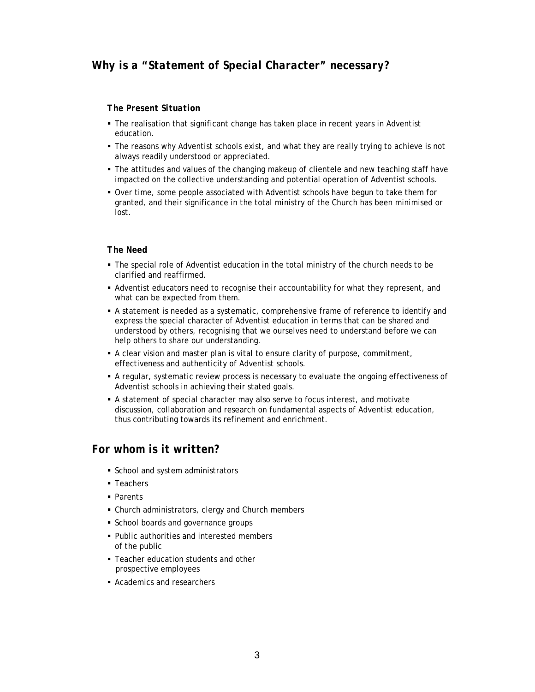#### *The Present Situation*

- The realisation that significant change has taken place in recent years in Adventist education.
- The reasons why Adventist schools exist, and what they are really trying to achieve is not always readily understood or appreciated.
- The attitudes and values of the changing makeup of clientele and new teaching staff have impacted on the collective understanding and potential operation of Adventist schools.
- Over time, some people associated with Adventist schools have begun to take them for granted, and their significance in the total ministry of the Church has been minimised or lost.

#### *The Need*

- The special role of Adventist education in the total ministry of the church needs to be clarified and reaffirmed.
- Adventist educators need to recognise their accountability for what they represent, and what can be expected from them.
- A statement is needed as a systematic, comprehensive frame of reference to identify and express the special character of Adventist education in terms that can be shared and understood by others, recognising that we ourselves need to understand before we can help others to share our understanding.
- A clear vision and master plan is vital to ensure clarity of purpose, commitment, effectiveness and authenticity of Adventist schools.
- A regular, systematic review process is necessary to evaluate the ongoing effectiveness of Adventist schools in achieving their stated goals.
- A statement of special character may also serve to focus interest, and motivate discussion, collaboration and research on fundamental aspects of Adventist education, thus contributing towards its refinement and enrichment.

## *For whom is it written?*

- School and system administrators
- Teachers
- **Parents**
- Church administrators, clergy and Church members
- **School boards and governance groups**
- Public authorities and interested members of the public
- Teacher education students and other prospective employees
- Academics and researchers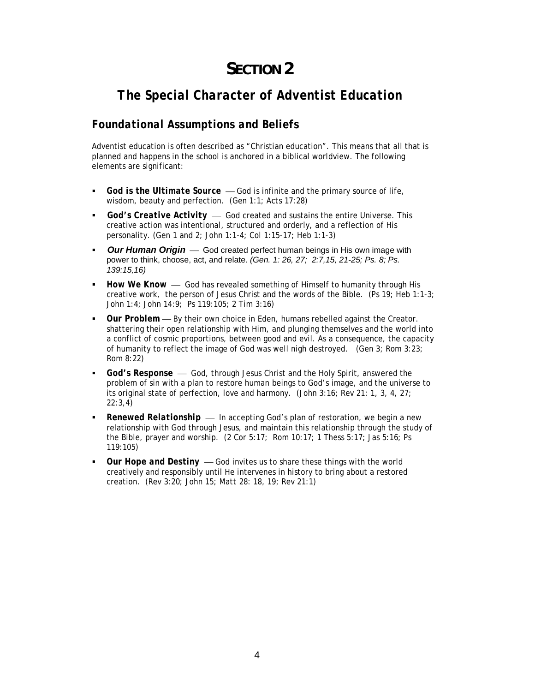# **SECTION 2**

# *The Special Character of Adventist Education*

# *Foundational Assumptions and Beliefs*

Adventist education is often described as "Christian education". This means that all that is planned and happens in the school is anchored in a biblical worldview. The following elements are significant:

- God is the Ultimate Source God is infinite and the primary source of life, wisdom, beauty and perfection. *(Gen 1:1; Acts 17:28)*
- *God's Creative Activity* God created and sustains the entire Universe. This creative action was intentional, structured and orderly, and a reflection of His personality. *(Gen 1 and 2; John 1:1-4; Col 1:15-17; Heb 1:1-3)*
- **Our Human Origin** God created perfect human beings in His own image with power to think, choose, act, and relate. *(Gen. 1: 26, 27; 2:7,15, 21-25; Ps. 8; Ps. 139:15,16)*
- *How We Know* God has revealed something of Himself to humanity through His creative work, the person of Jesus Christ and the words of the Bible. *(Ps 19; Heb 1:1-3; John 1:4; John 14:9; Ps 119:105; 2 Tim 3:16)*
- *Our Problem* By their own choice in Eden, humans rebelled against the Creator. shattering their open relationship with Him, and plunging themselves and the world into a conflict of cosmic proportions, between good and evil. As a consequence, the capacity of humanity to reflect the image of God was well nigh destroyed. *(Gen 3; Rom 3:23; Rom 8:22)*
- *God's Response* God, through Jesus Christ and the Holy Spirit, answered the problem of sin with a plan to restore human beings to God's image, and the universe to its original state of perfection, love and harmony. *(John 3:16; Rev 21: 1, 3, 4, 27; 22:3,4)*
- *Renewed Relationship* In accepting God's plan of restoration, we begin a new relationship with God through Jesus, and maintain this relationship through the study of the Bible, prayer and worship. *(2 Cor 5:17; Rom 10:17; 1 Thess 5:17; Jas 5:16; Ps 119:105)*
- *Our Hope and Destiny* God invites us to share these things with the world creatively and responsibly until He intervenes in history to bring about a restored creation. *(Rev 3:20; John 15; Matt 28: 18, 19; Rev 21:1)*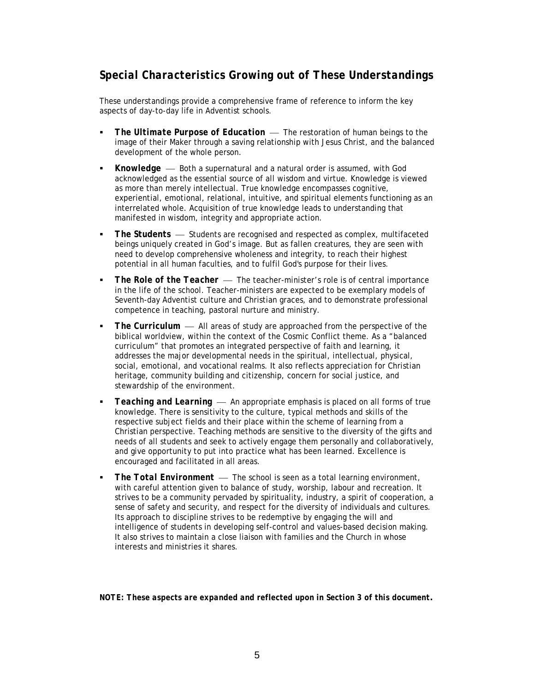# *Special Characteristics Growing out of These Understandings*

These understandings provide a comprehensive frame of reference to inform the key aspects of day-to-day life in Adventist schools.

- *The Ultimate Purpose of Education* The restoration of human beings to the image of their Maker through a saving relationship with Jesus Christ, and the balanced development of the whole person.
- *Knowledge* Both a supernatural and a natural order is assumed, with God acknowledged as the essential source of all wisdom and virtue. Knowledge is viewed as more than merely intellectual. True knowledge encompasses cognitive, experiential, emotional, relational, intuitive, and spiritual elements functioning as an interrelated whole. Acquisition of true knowledge leads to understanding that manifested in wisdom, integrity and appropriate action.
- *The Students* Students are recognised and respected as complex, multifaceted beings uniquely created in God's image. But as fallen creatures, they are seen with need to develop comprehensive wholeness and integrity, to reach their highest potential in all human faculties, and to fulfil God's purpose for their lives.
- *The Role of the Teacher* The teacher-minister's role is of central importance in the life of the school. Teacher-ministers are expected to be exemplary models of Seventh-day Adventist culture and Christian graces, and to demonstrate professional competence in teaching, pastoral nurture and ministry.
- *The Curriculum* All areas of study are approached from the perspective of the biblical worldview, within the context of the Cosmic Conflict theme. As a "balanced curriculum" that promotes an integrated perspective of faith and learning, it addresses the major developmental needs in the spiritual, intellectual, physical, social, emotional, and vocational realms. It also reflects appreciation for Christian heritage, community building and citizenship, concern for social justice, and stewardship of the environment.
- *Teaching and Learning* An appropriate emphasis is placed on all forms of true knowledge. There is sensitivity to the culture, typical methods and skills of the respective subject fields and their place within the scheme of learning from a Christian perspective. Teaching methods are sensitive to the diversity of the gifts and needs of all students and seek to actively engage them personally and collaboratively, and give opportunity to put into practice what has been learned. Excellence is encouraged and facilitated in all areas.
- *The Total Environment* The school is seen as a total learning environment. with careful attention given to balance of study, worship, labour and recreation. It strives to be a community pervaded by spirituality, industry, a spirit of cooperation, a sense of safety and security, and respect for the diversity of individuals and cultures. Its approach to discipline strives to be redemptive by engaging the will and intelligence of students in developing self-control and values-based decision making. It also strives to maintain a close liaison with families and the Church in whose interests and ministries it shares.

*NOTE: These aspects are expanded and reflected upon in Section 3 of this document***.**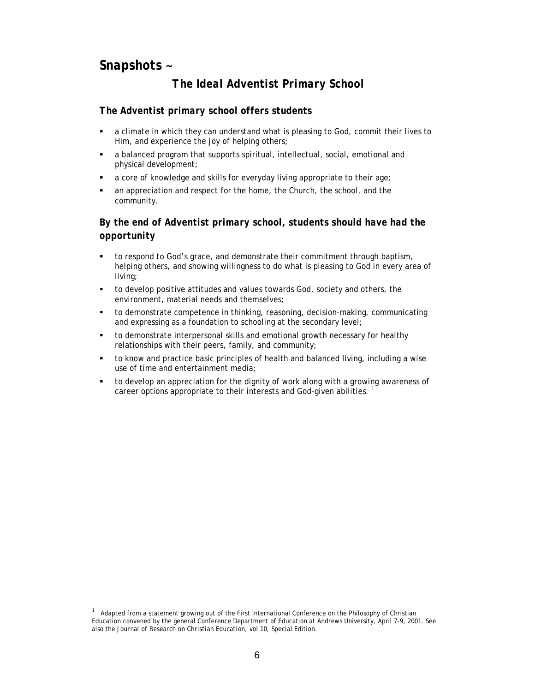# *Snapshots ~*

# *The Ideal Adventist Primary School*

#### *The Adventist primary school offers students*

- a climate in which they can understand what is pleasing to God, commit their lives to Him, and experience the joy of helping others;
- a balanced program that supports spiritual, intellectual, social, emotional and physical development;
- a core of knowledge and skills for everyday living appropriate to their age;
- an appreciation and respect for the home, the Church, the school, and the community.

### *By the end of Adventist primary school, students should have had the opportunity*

- to respond to God's grace, and demonstrate their commitment through baptism, helping others, and showing willingness to do what is pleasing to God in every area of living;
- to develop positive attitudes and values towards God, society and others, the environment, material needs and themselves;
- to demonstrate competence in thinking, reasoning, decision-making, communicating and expressing as a foundation to schooling at the secondary level;
- to demonstrate interpersonal skills and emotional growth necessary for healthy relationships with their peers, family, and community;
- to know and practice basic principles of health and balanced living, including a wise use of time and entertainment media;
- to develop an appreciation for the dignity of work along with a growing awareness of career options appropriate to their interests and God-given abilities.<sup>1</sup>

<sup>1&</sup>lt;sup>1</sup>  $1$  Adapted from a statement growing out of the First International Conference on the Philosophy of Christian Education convened by the general Conference Department of Education at Andrews University, April 7-9, 2001. See also the *Journal of Research on Christian Education*, vol 10, Special Edition.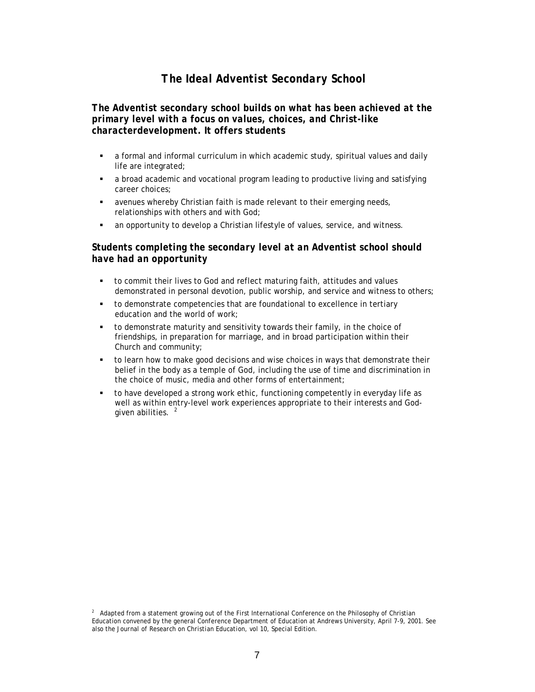## *The Ideal Adventist Secondary School*

#### *The Adventist secondary school builds on what has been achieved at the primary level with a focus on values, choices, and Christ-like characterdevelopment. It offers students*

- a formal and informal curriculum in which academic study, spiritual values and daily life are integrated;
- a broad academic and vocational program leading to productive living and satisfying career choices;
- avenues whereby Christian faith is made relevant to their emerging needs, relationships with others and with God;
- an opportunity to develop a Christian lifestyle of values, service, and witness.

#### *Students completing the secondary level at an Adventist school should have had an opportunity*

- to commit their lives to God and reflect maturing faith, attitudes and values demonstrated in personal devotion, public worship, and service and witness to others;
- to demonstrate competencies that are foundational to excellence in tertiary education and the world of work;
- to demonstrate maturity and sensitivity towards their family, in the choice of friendships, in preparation for marriage, and in broad participation within their Church and community;
- to learn how to make good decisions and wise choices in ways that demonstrate their belief in the body as a temple of God, including the use of time and discrimination in the choice of music, media and other forms of entertainment;
- to have developed a strong work ethic, functioning competently in everyday life as well as within entry-level work experiences appropriate to their interests and Godgiven abilities.  $2^2$

<sup>2&</sup>lt;br>2<br>2<br>2 <sup>2</sup> Adapted from a statement growing out of the First International Conference on the Philosophy of Christian Education convened by the general Conference Department of Education at Andrews University, April 7-9, 2001. See also the *Journal of Research on Christian Education*, vol 10, Special Edition.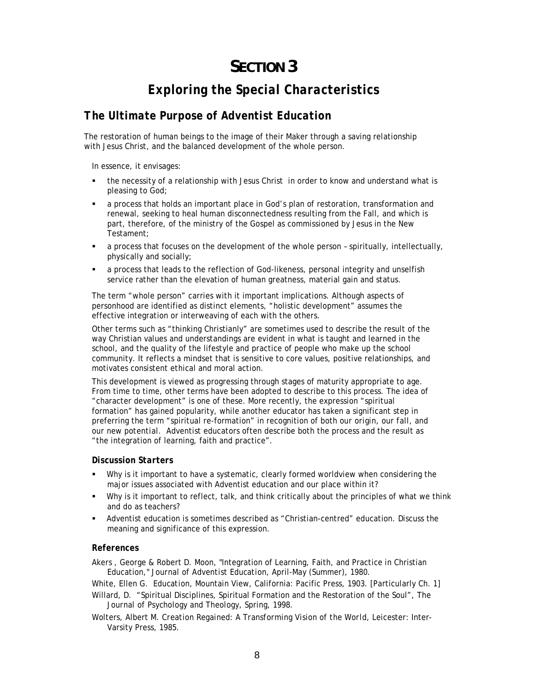# **SECTION 3**

# *Exploring the Special Characteristics*

## *The Ultimate Purpose of Adventist Education*

The restoration of human beings to the image of their Maker through a saving relationship with Jesus Christ, and the balanced development of the whole person.

In essence, it envisages:

- the necessity of a relationship with Jesus Christ in order to know and understand what is pleasing to God;
- a process that holds an important place in God's plan of restoration, transformation and renewal, seeking to heal human disconnectedness resulting from the Fall, and which is part, therefore, of the ministry of the Gospel as commissioned by Jesus in the New Testament;
- a process that focuses on the development of the whole person spiritually, intellectually, physically and socially;
- a process that leads to the reflection of God-likeness, personal integrity and unselfish service rather than the elevation of human greatness, material gain and status.

The term "whole person" carries with it important implications. Although aspects of personhood are identified as distinct elements, "holistic development" assumes the effective integration or interweaving of each with the others.

Other terms such as "thinking Christianly" are sometimes used to describe the result of the way Christian values and understandings are evident in what is taught and learned in the school, and the quality of the lifestyle and practice of people who make up the school community. It reflects a mindset that is sensitive to core values, positive relationships, and motivates consistent ethical and moral action.

This development is viewed as progressing through stages of maturity appropriate to age. From time to time, other terms have been adopted to describe to this process. The idea of "character development" is one of these. More recently, the expression "spiritual formation" has gained popularity, while another educator has taken a significant step in preferring the term "spiritual re-formation" in recognition of both *our origin, our fall,* and *our new potential*. Adventist educators often describe both the process and the result as "the integration of learning, faith and practice".

#### *Discussion Starters*

- Why is it important to have a systematic, clearly formed worldview when considering the major issues associated with Adventist education and our place within it?
- Why is it important to reflect, talk, and think critically about the principles of what we think and do as teachers?
- Adventist education is sometimes described as "Christian-centred" education. Discuss the meaning and significance of this expression.

#### *References*

Akers , George & Robert D. Moon, "Integration of Learning, Faith, and Practice in Christian Education," *Journal of Adventist Education,* April-May (Summer), 1980.

White, Ellen G. *Education*, Mountain View, California: Pacific Press, 1903. [Particularly Ch. 1]

Willard, D. "Spiritual Disciplines, Spiritual Formation and the Restoration of the Soul", *The Journal of Psychology and Theology*, Spring, 1998.

Wolters, Albert M. *Creation Regained: A Transforming Vision of the World*, Leicester: Inter-Varsity Press, 1985.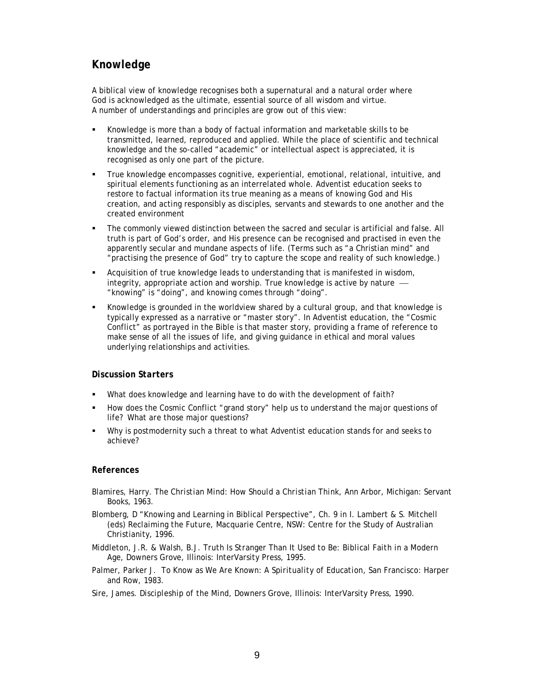# *Knowledge*

A biblical view of knowledge recognises both a supernatural and a natural order where God is acknowledged as the ultimate, essential source of all wisdom and virtue. A number of understandings and principles are grow out of this view:

- Knowledge is more than a body of factual information and marketable skills to be transmitted, learned, reproduced and applied. While the place of scientific and technical knowledge and the so-called "academic" or intellectual aspect is appreciated, it is recognised as only one part of the picture.
- True knowledge encompasses cognitive, experiential, emotional, relational, intuitive, and spiritual elements functioning as an interrelated whole. Adventist education seeks to restore to factual information its true meaning as a means of knowing God and His creation, and acting responsibly as disciples, servants and stewards to one another and the created environment
- The commonly viewed distinction between the sacred and secular is artificial and false. All truth is part of God's order, and His presence can be recognised and practised in even the apparently secular and mundane aspects of life. (Terms such as "a Christian mind" and "practising the presence of God" try to capture the scope and reality of such knowledge.)
- Acquisition of true knowledge leads to understanding that is manifested in wisdom, integrity, appropriate action and worship. True knowledge is active by nature  $-$ "knowing" *is* "doing", and knowing comes *through* "doing".
- Knowledge is grounded in the worldview shared by a cultural group, and that knowledge is typically expressed as a narrative or "master story". In Adventist education, the "Cosmic Conflict" as portrayed in the Bible is that master story, providing a frame of reference to make sense of all the issues of life, and giving guidance in ethical and moral values underlying relationships and activities.

#### *Discussion Starters*

- What does knowledge and learning have to do with the development of faith?
- How does the Cosmic Conflict "grand story" help us to understand the major questions of life? What *are* those major questions?
- Why is postmodernity such a threat to what Adventist education stands for and seeks to achieve?

- Blamires, Harry. *The Christian Mind: How Should a Christian Think*, Ann Arbor, Michigan: Servant Books, 1963.
- Blomberg, D "Knowing and Learning in Biblical Perspective", Ch. 9 in I. Lambert & S. Mitchell (eds) *Reclaiming the Future*, Macquarie Centre, NSW: Centre for the Study of Australian Christianity, 1996.
- Middleton, J.R. & Walsh, B.J. *Truth Is Stranger Than It Used to Be: Biblical Faith in a Modern Age*, Downers Grove, Illinois: InterVarsity Press, 1995.
- Palmer, Parker J. *To Know as We Are Known: A Spirituality of Education*, San Francisco: Harper and Row, 1983.
- Sire, James. *Discipleship of the Mind*, Downers Grove, Illinois: InterVarsity Press, 1990.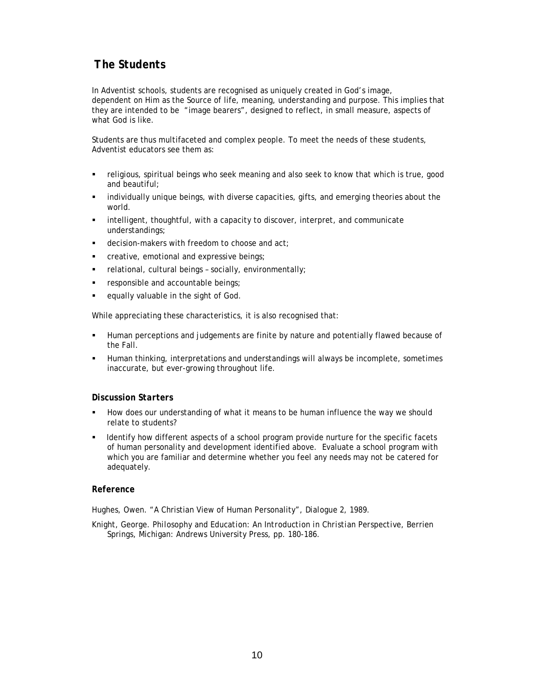# *The Students*

In Adventist schools, students are recognised as uniquely created in God's image, dependent on Him as the Source of life, meaning, understanding and purpose. This implies that they are intended to be "image bearers", designed to reflect, in small measure, aspects of what God is like.

Students are thus multifaceted and complex people. To meet the needs of these students, Adventist educators see them as:

- religious, spiritual beings who seek meaning and also seek to know that which is true, good and beautiful;
- individually unique beings, with diverse capacities, gifts, and emerging theories about the world.
- intelligent, thoughtful, with a capacity to discover, interpret, and communicate understandings;
- decision-makers with freedom to choose and act;
- **EXEC** creative, emotional and expressive beings;
- relational, cultural beings socially, environmentally;
- responsible and accountable beings;
- equally valuable in the sight of God.

While appreciating these characteristics, it is also recognised that:

- Human perceptions and judgements are finite by nature and potentially flawed because of the Fall.
- Human thinking, interpretations and understandings will always be incomplete, sometimes inaccurate, but ever-growing throughout life.

#### *Discussion Starters*

- How does our understanding of what it means to be human influence the way we should relate to students?
- Identify how different aspects of a school program provide nurture for the specific facets of human personality and development identified above. Evaluate a school program with which you are familiar and determine whether you feel any needs may not be catered for adequately.

#### *Reference*

Hughes, Owen. "A Christian View of Human Personality", *Dialogue 2*, 1989.

Knight, George. *Philosophy and Education: An Introduction in Christian Perspective*, Berrien Springs, Michigan: Andrews University Press, pp. 180-186.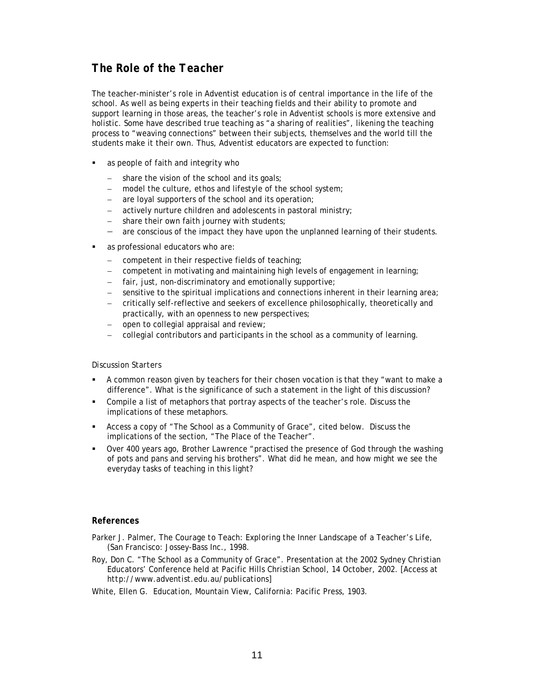# *The Role of the Teacher*

The teacher-minister's role in Adventist education is of central importance in the life of the school. As well as being experts in their teaching fields and their ability to promote and support learning in those areas, the teacher's role in Adventist schools is more extensive and holistic. Some have described true teaching as "a sharing of realities", likening the teaching process to "weaving connections" between their subjects, themselves and the world till the students make it their own. Thus, Adventist educators are expected to function:

- as people of faith and integrity who
	- share the vision of the school and its goals;
	- model the culture, ethos and lifestyle of the school system;
	- − are loyal supporters of the school and its operation;
	- − actively nurture children and adolescents in pastoral ministry;
	- − share their own faith journey with students;
	- − are conscious of the impact they have upon the unplanned learning of their students.
- as professional educators who are:
	- − competent in their respective fields of teaching;
	- − competent in motivating and maintaining high levels of engagement in learning;
	- − fair, just, non-discriminatory and emotionally supportive;
	- − sensitive to the spiritual implications and connections inherent in their learning area;
	- − critically self-reflective and seekers of excellence philosophically, theoretically and practically, with an openness to new perspectives;
	- − open to collegial appraisal and review;
	- − collegial contributors and participants in the school as a community of learning.

#### *Discussion Starters*

- A common reason given by teachers for their chosen vocation is that they "want to make a difference". What is the significance of such a statement in the light of this discussion?
- Compile a list of metaphors that portray aspects of the teacher's role. Discuss the implications of these metaphors.
- Access a copy of "The School as a Community of Grace", cited below. Discuss the implications of the section, "The Place of the Teacher".
- Over 400 years ago, Brother Lawrence "practised the presence of God through the washing of pots and pans and serving his brothers". What did he mean, and how might we see the everyday tasks of teaching in this light?

- Parker J. Palmer, *The Courage to Teach: Exploring the Inner Landscape of a Teacher's Life*, (San Francisco: Jossey-Bass Inc., 1998.
- Roy, Don C. "The School as a Community of Grace". Presentation at the 2002 Sydney Christian Educators' Conference held at Pacific Hills Christian School, 14 October, 2002. [Access at *http://www.adventist.edu.au/publications*]
- White, Ellen G. *Education*, Mountain View, California: Pacific Press, 1903.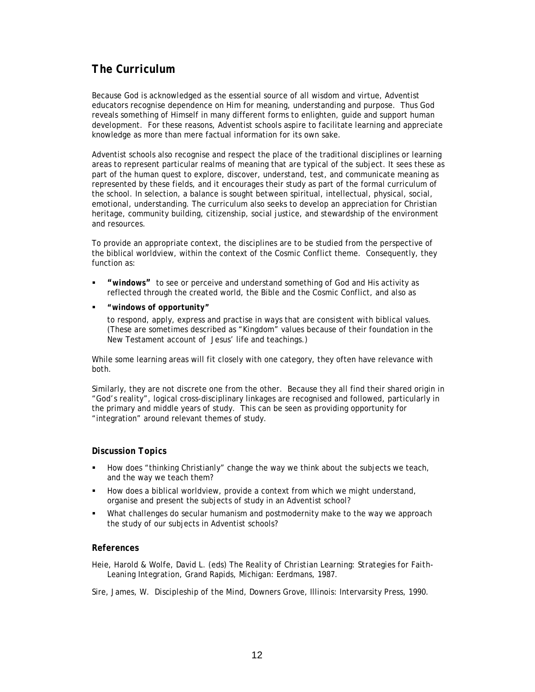# *The Curriculum*

Because God is acknowledged as the essential source of all wisdom and virtue, Adventist educators recognise dependence on Him for meaning, understanding and purpose. Thus God reveals something of Himself in many different forms to enlighten, guide and support human development. For these reasons, Adventist schools aspire to facilitate learning and appreciate knowledge as more than mere factual information for its own sake.

Adventist schools also recognise and respect the place of the traditional disciplines or learning areas to represent particular realms of meaning that are typical of the subject. It sees these as part of the human quest to explore, discover, understand, test, and communicate meaning as represented by these fields, and it encourages their study as part of the formal curriculum of the school. In selection, a balance is sought between spiritual, intellectual, physical, social, emotional, understanding. The curriculum also seeks to develop an appreciation for Christian heritage, community building, citizenship, social justice, and stewardship of the environment and resources.

To provide an appropriate context, the disciplines are to be studied from the perspective of the biblical worldview, within the context of the Cosmic Conflict theme. Consequently, they function as:

- *"windows"* to see or perceive and understand something of God and His activity as reflected through the created world, the Bible and the Cosmic Conflict, and also as
- *"windows of opportunity"*

to respond, apply, express and practise in ways that are consistent with biblical values. (These are sometimes described as "Kingdom" values because of their foundation in the New Testament account of Jesus' life and teachings.)

While some learning areas will fit closely with one category, they often have relevance with both.

Similarly, they are not discrete one from the other. Because they all find their shared origin in "God's reality", logical cross-disciplinary linkages are recognised and followed, particularly in the primary and middle years of study. This can be seen as providing opportunity for "integration" around relevant themes of study.

#### *Discussion Topics*

- How does "thinking Christianly" change the way we think about the subjects we teach, and the way we teach them?
- How does a biblical worldview, provide a context from which we might understand, organise and present the subjects of study in an Adventist school?
- What challenges do secular humanism and postmodernity make to the way we approach the study of our subjects in Adventist schools?

#### *References*

Heie, Harold & Wolfe, David L. (eds) *The Reality of Christian Learning: Strategies for Faith-Leaning Integration*, Grand Rapids, Michigan: Eerdmans, 1987.

Sire, James, W. *Discipleship of the Mind*, Downers Grove, Illinois: Intervarsity Press, 1990.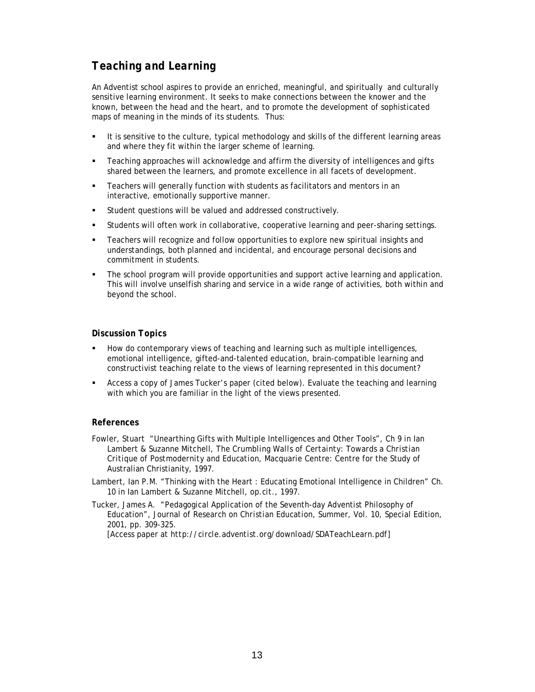# *Teaching and Learning*

An Adventist school aspires to provide an enriched, meaningful, and spiritually and culturally sensitive learning environment. It seeks to make connections between the knower and the known, between the head and the heart, and to promote the development of sophisticated maps of meaning in the minds of its students. Thus:

- It is sensitive to the culture, typical methodology and skills of the different learning areas and where they fit within the larger scheme of learning.
- Teaching approaches will acknowledge and affirm the diversity of intelligences and gifts shared between the learners, and promote excellence in all facets of development.
- Teachers will generally function with students as facilitators and mentors in an interactive, emotionally supportive manner.
- Student questions will be valued and addressed constructively.
- Students will often work in collaborative, cooperative learning and peer-sharing settings.
- Teachers will recognize and follow opportunities to explore new spiritual insights and understandings, both planned and incidental, and encourage personal decisions and commitment in students.
- The school program will provide opportunities and support active learning and application. This will involve unselfish sharing and service in a wide range of activities, both within and beyond the school.

#### *Discussion Topics*

- How do contemporary views of teaching and learning such as multiple intelligences, emotional intelligence, gifted-and-talented education, brain-compatible learning and constructivist teaching relate to the views of learning represented in this document?
- Access a copy of James Tucker's paper (cited below). Evaluate the teaching and learning with which you are familiar in the light of the views presented.

- Fowler, Stuart "Unearthing Gifts with Multiple Intelligences and Other Tools", Ch 9 in Ian Lambert & Suzanne Mitchell, *The Crumbling Walls of Certainty: Towards a Christian Critique of Postmodernity and Education*, Macquarie Centre: Centre for the Study of Australian Christianity, 1997.
- Lambert, Ian P.M. "Thinking with the Heart : Educating Emotional Intelligence in Children" Ch. 10 in Ian Lambert & Suzanne Mitchell, *op.cit*., 1997.
- Tucker, James A. "Pedagogical Application of the Seventh-day Adventist Philosophy of Education", Journal *of Research on Christian Education*, Summer, Vol. 10, Special Edition, 2001, pp. 309-325. [Access paper at *http://circle.adventist.org/download/SDATeachLearn.pdf*]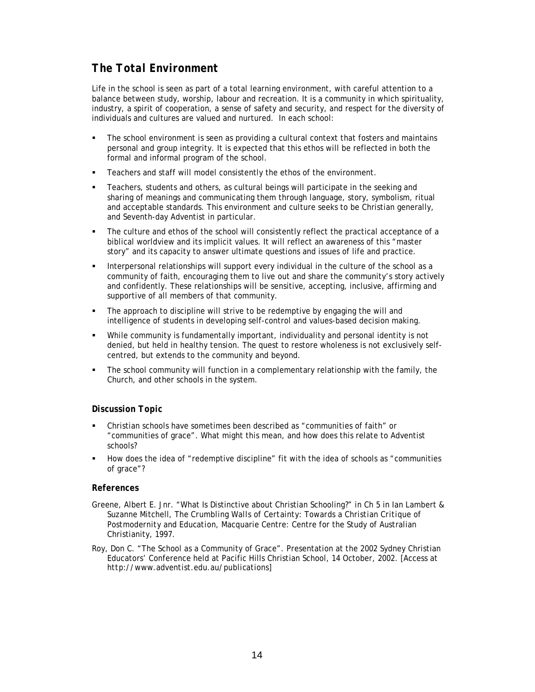# *The Total Environment*

Life in the school is seen as part of a total learning environment, with careful attention to a balance between study, worship, labour and recreation. It is a community in which spirituality, industry, a spirit of cooperation, a sense of safety and security, and respect for the diversity of individuals and cultures are valued and nurtured. In each school:

- The school environment is seen as providing a cultural context that fosters and maintains personal and group integrity. It is expected that this ethos will be reflected in both the formal and informal program of the school.
- **Teachers and staff will model consistently the ethos of the environment.**
- Teachers, students and others, as cultural beings will participate in the seeking and sharing of meanings and communicating them through language, story, symbolism, ritual and acceptable standards. This environment and culture seeks to be Christian generally, and Seventh-day Adventist in particular.
- The culture and ethos of the school will consistently reflect the practical acceptance of a biblical worldview and its implicit values. It will reflect an awareness of this "master story" and its capacity to answer ultimate questions and issues of life and practice.
- Interpersonal relationships will support every individual in the culture of the school as a community of faith, encouraging them to live out and share the community's story actively and confidently. These relationships will be sensitive, accepting, inclusive, affirming and supportive of all members of that community.
- The approach to discipline will strive to be redemptive by engaging the will and intelligence of students in developing self-control and values-based decision making.
- While community is fundamentally important, individuality and personal identity is not denied, but held in healthy tension. The quest to restore wholeness is not exclusively selfcentred, but extends to the community and beyond.
- The school community will function in a complementary relationship with the family, the Church, and other schools in the system.

#### *Discussion Topic*

- Christian schools have sometimes been described as "communities of faith" or "communities of grace". What might this mean, and how does this relate to Adventist schools?
- How does the idea of "redemptive discipline" fit with the idea of schools as "communities of grace"?

- Greene, Albert E. Jnr. "What Is Distinctive about Christian Schooling?" in Ch 5 in Ian Lambert & Suzanne Mitchell, *The Crumbling Walls of Certainty: Towards a Christian Critique of Postmodernity and Education*, Macquarie Centre: Centre for the Study of Australian Christianity, 1997.
- Roy, Don C. "The School as a Community of Grace". Presentation at the 2002 Sydney Christian Educators' Conference held at Pacific Hills Christian School, 14 October, 2002. [Access at *http://www.adventist.edu.au/publications*]